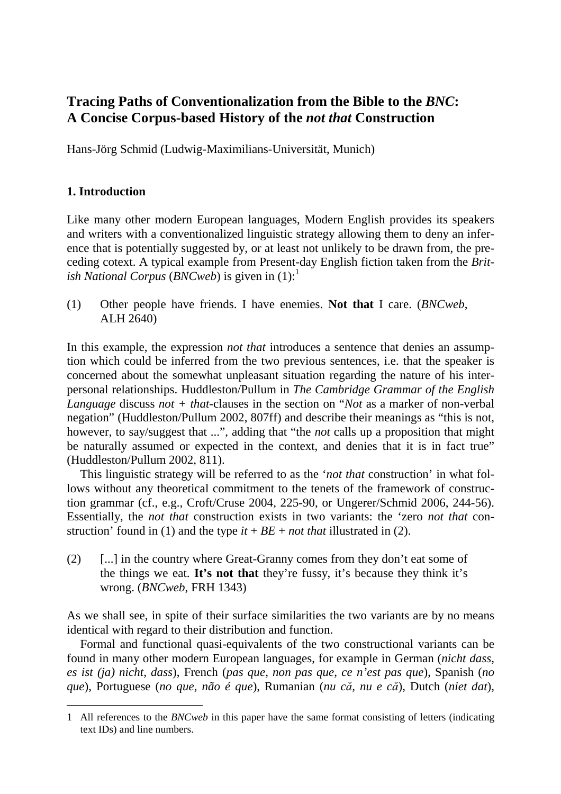# **Tracing Paths of Conventionalization from the Bible to the** *BNC***: A Concise Corpus-based History of the** *not that* **Construction**

Hans-Jörg Schmid (Ludwig-Maximilians-Universität, Munich)

# **1. Introduction**

 $\overline{a}$ 

Like many other modern European languages, Modern English provides its speakers and writers with a conventionalized linguistic strategy allowing them to deny an inference that is potentially suggested by, or at least not unlikely to be drawn from, the preceding cotext. A typical example from Present-day English fiction taken from the *British National Corpus* (*BNCweb*) is given in (1):<sup>1</sup>

(1) Other people have friends. I have enemies. **Not that** I care. (*BNCweb*, ALH 2640)

In this example, the expression *not that* introduces a sentence that denies an assumption which could be inferred from the two previous sentences, i.e. that the speaker is concerned about the somewhat unpleasant situation regarding the nature of his interpersonal relationships. Huddleston/Pullum in *The Cambridge Grammar of the English Language* discuss *not + that*-clauses in the section on "*Not* as a marker of non-verbal negation" (Huddleston/Pullum 2002, 807ff) and describe their meanings as "this is not, however, to say/suggest that ...", adding that "the *not* calls up a proposition that might be naturally assumed or expected in the context, and denies that it is in fact true" (Huddleston/Pullum 2002, 811).

This linguistic strategy will be referred to as the '*not that* construction' in what follows without any theoretical commitment to the tenets of the framework of construction grammar (cf., e.g., Croft/Cruse 2004, 225-90, or Ungerer/Schmid 2006, 244-56). Essentially, the *not that* construction exists in two variants: the 'zero *not that* construction' found in (1) and the type  $it + BE + not$  that illustrated in (2).

(2) [...] in the country where Great-Granny comes from they don't eat some of the things we eat. **It's not that** they're fussy, it's because they think it's wrong. (*BNCweb*, FRH 1343)

As we shall see, in spite of their surface similarities the two variants are by no means identical with regard to their distribution and function.

Formal and functional quasi-equivalents of the two constructional variants can be found in many other modern European languages, for example in German (*nicht dass, es ist (ja) nicht, dass*), French (*pas que, non pas que, ce n'est pas que*), Spanish (*no que*), Portuguese (*no que*, *não é que*), Rumanian (*nu că, nu e că*), Dutch (*niet dat*),

<sup>1</sup> All references to the *BNCweb* in this paper have the same format consisting of letters (indicating text IDs) and line numbers.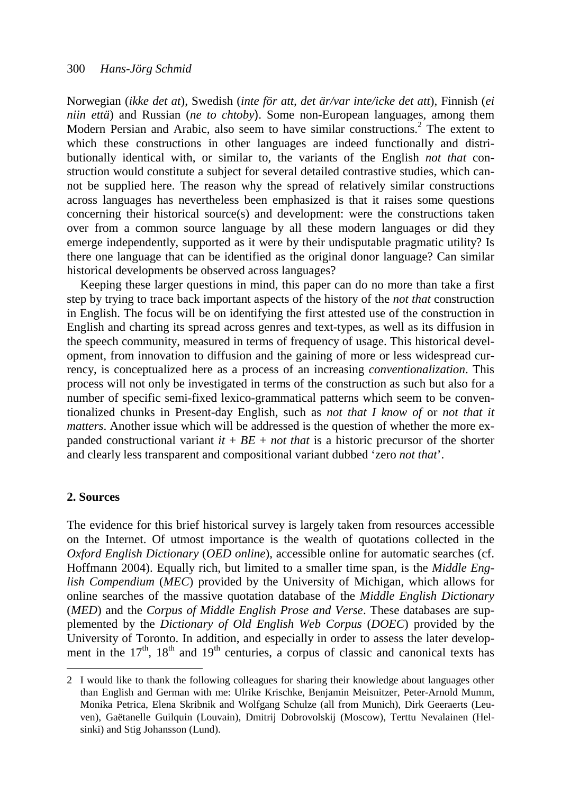Norwegian (*ikke det at*), Swedish (*inte för att, det är/var inte/icke det att*), Finnish (*ei niin että*) and Russian (*ne to chtoby*). Some non-European languages, among them Modern Persian and Arabic, also seem to have similar constructions.<sup>2</sup> The extent to which these constructions in other languages are indeed functionally and distributionally identical with, or similar to, the variants of the English *not that* construction would constitute a subject for several detailed contrastive studies, which cannot be supplied here. The reason why the spread of relatively similar constructions across languages has nevertheless been emphasized is that it raises some questions concerning their historical source(s) and development: were the constructions taken over from a common source language by all these modern languages or did they emerge independently, supported as it were by their undisputable pragmatic utility? Is there one language that can be identified as the original donor language? Can similar historical developments be observed across languages?

Keeping these larger questions in mind, this paper can do no more than take a first step by trying to trace back important aspects of the history of the *not that* construction in English. The focus will be on identifying the first attested use of the construction in English and charting its spread across genres and text-types, as well as its diffusion in the speech community, measured in terms of frequency of usage. This historical development, from innovation to diffusion and the gaining of more or less widespread currency, is conceptualized here as a process of an increasing *conventionalization*. This process will not only be investigated in terms of the construction as such but also for a number of specific semi-fixed lexico-grammatical patterns which seem to be conventionalized chunks in Present-day English, such as *not that I know of* or *not that it matters*. Another issue which will be addressed is the question of whether the more expanded constructional variant  $it + BE + not$  that is a historic precursor of the shorter and clearly less transparent and compositional variant dubbed 'zero *not that*'.

#### **2. Sources**

 $\overline{a}$ 

The evidence for this brief historical survey is largely taken from resources accessible on the Internet. Of utmost importance is the wealth of quotations collected in the *Oxford English Dictionary* (*OED online*), accessible online for automatic searches (cf. Hoffmann 2004). Equally rich, but limited to a smaller time span, is the *Middle English Compendium* (*MEC*) provided by the University of Michigan, which allows for online searches of the massive quotation database of the *Middle English Dictionary* (*MED*) and the *Corpus of Middle English Prose and Verse*. These databases are supplemented by the *Dictionary of Old English Web Corpus* (*DOEC*) provided by the University of Toronto. In addition, and especially in order to assess the later development in the  $17<sup>th</sup>$ ,  $18<sup>th</sup>$  and  $19<sup>th</sup>$  centuries, a corpus of classic and canonical texts has

<sup>2</sup> I would like to thank the following colleagues for sharing their knowledge about languages other than English and German with me: Ulrike Krischke, Benjamin Meisnitzer, Peter-Arnold Mumm, Monika Petrica, Elena Skribnik and Wolfgang Schulze (all from Munich), Dirk Geeraerts (Leu ven), Gaëtanelle Guilquin (Louvain), Dmitrij Dobrovolskij (Moscow), Terttu Nevalainen (Hel sinki) and Stig Johansson (Lund).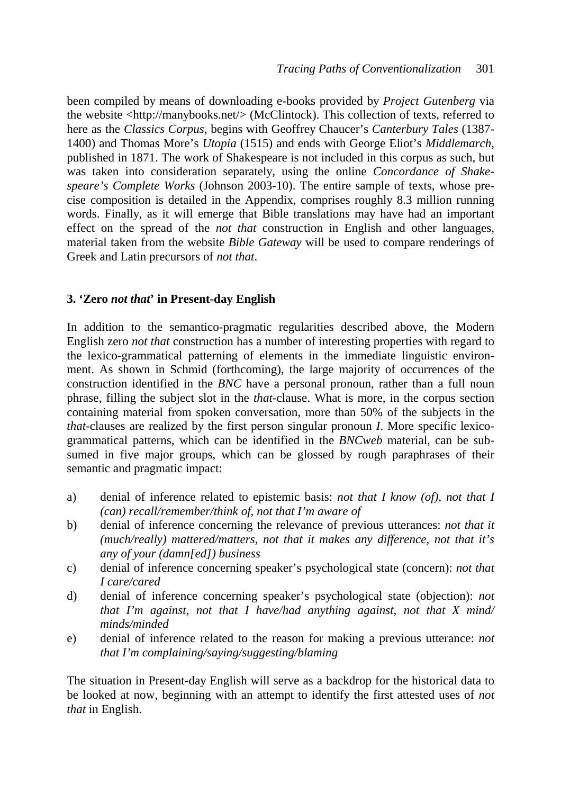been compiled by means of downloading e-books provided by *Project Gutenberg* via the website <http://manybooks.net/> (McClintock). This collection of texts, referred to here as the *Classics Corpus*, begins with Geoffrey Chaucer's *Canterbury Tales* (1387- 1400) and Thomas More's *Utopia* (1515) and ends with George Eliot's *Middlemarch*, published in 1871. The work of Shakespeare is not included in this corpus as such, but was taken into consideration separately, using the online *Concordance of Shakespeare's Complete Works* (Johnson 2003-10). The entire sample of texts, whose precise composition is detailed in the Appendix, comprises roughly 8.3 million running words. Finally, as it will emerge that Bible translations may have had an important effect on the spread of the *not that* construction in English and other languages, material taken from the website *Bible Gateway* will be used to compare renderings of Greek and Latin precursors of *not that*.

# **3. 'Zero** *not that***' in Present-day English**

In addition to the semantico-pragmatic regularities described above, the Modern English zero *not that* construction has a number of interesting properties with regard to the lexico-grammatical patterning of elements in the immediate linguistic environment. As shown in Schmid (forthcoming), the large majority of occurrences of the construction identified in the *BNC* have a personal pronoun, rather than a full noun phrase, filling the subject slot in the *that-*clause. What is more, in the corpus section containing material from spoken conversation, more than 50% of the subjects in the *that*-clauses are realized by the first person singular pronoun *I*. More specific lexicogrammatical patterns, which can be identified in the *BNCweb* material, can be subsumed in five major groups, which can be glossed by rough paraphrases of their semantic and pragmatic impact:

- a) denial of inference related to epistemic basis: *not that I know (of), not that I (can) recall/remember/think of, not that I'm aware of*
- b) denial of inference concerning the relevance of previous utterances: *not that it (much/really) mattered/matters, not that it makes any difference, not that it's any of your (damn[ed]) business*
- c) denial of inference concerning speaker's psychological state (concern): *not that I care/cared*
- d) denial of inference concerning speaker's psychological state (objection): *not that I'm against, not that I have/had anything against, not that X mind/ minds/minded*
- e) denial of inference related to the reason for making a previous utterance: *not that I'm complaining/saying/suggesting/blaming*

The situation in Present-day English will serve as a backdrop for the historical data to be looked at now, beginning with an attempt to identify the first attested uses of *not that* in English.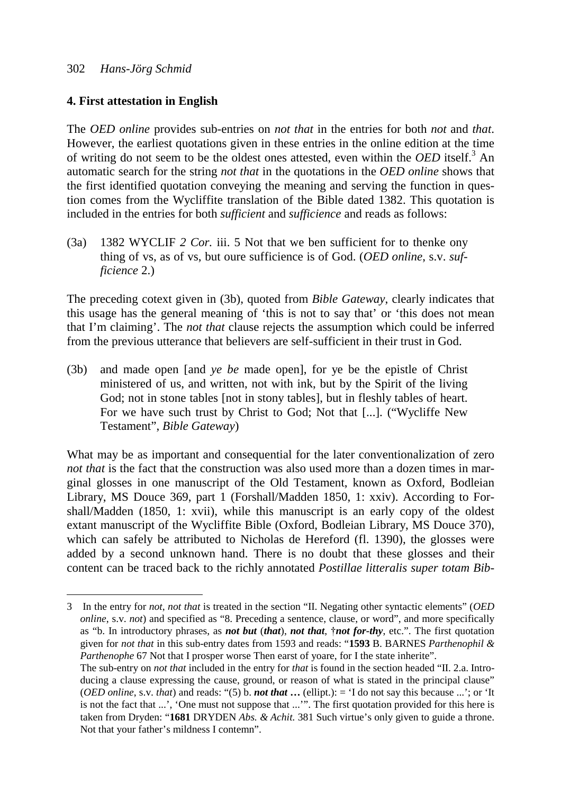$\overline{a}$ 

## **4. First attestation in English**

The *OED online* provides sub-entries on *not that* in the entries for both *not* and *that*. However, the earliest quotations given in these entries in the online edition at the time of writing do not seem to be the oldest ones attested, even within the *OED* itself.<sup>3</sup> An automatic search for the string *not that* in the quotations in the *OED online* shows that the first identified quotation conveying the meaning and serving the function in question comes from the Wycliffite translation of the Bible dated 1382. This quotation is included in the entries for both *sufficient* and *sufficience* and reads as follows:

(3a) 1382 WYCLIF *2 Cor.* iii. 5 Not that we ben sufficient for to thenke ony thing of vs, as of vs, but oure sufficience is of God. (*OED online*, s.v. *sufficience* 2.)

The preceding cotext given in (3b), quoted from *Bible Gateway*, clearly indicates that this usage has the general meaning of 'this is not to say that' or 'this does not mean that I'm claiming'. The *not that* clause rejects the assumption which could be inferred from the previous utterance that believers are self-sufficient in their trust in God.

(3b) and made open [and *ye be* made open], for ye be the epistle of Christ ministered of us, and written, not with ink, but by the Spirit of the living God; not in stone tables [not in stony tables], but in fleshly tables of heart. For we have such trust by Christ to God; Not that [...]. ("Wycliffe New Testament", *Bible Gateway*)

What may be as important and consequential for the later conventionalization of zero *not that* is the fact that the construction was also used more than a dozen times in marginal glosses in one manuscript of the Old Testament, known as Oxford, Bodleian Library, MS Douce 369, part 1 (Forshall/Madden 1850, 1: xxiv). According to Forshall/Madden (1850, 1: xvii), while this manuscript is an early copy of the oldest extant manuscript of the Wycliffite Bible (Oxford, Bodleian Library, MS Douce 370), which can safely be attributed to Nicholas de Hereford (fl. 1390), the glosses were added by a second unknown hand. There is no doubt that these glosses and their content can be traced back to the richly annotated *Postillae litteralis super totam Bib-*

<sup>3</sup> In the entry for *not*, *not that* is treated in the section "II. Negating other syntactic elements" (*OED online*, s.v. *not*) and specified as "8. Preceding a sentence, clause, or word", and more specifically as "b. In introductory phrases, as *not but* (*that*), *not that*, †*not for-thy*, etc.". The first quotation given for *not that* in this sub-entry dates from 1593 and reads: "**1593** B. BARNES *Parthenophil & Parthenophe* 67 Not that I prosper worse Then earst of yoare, for I the state inherite".

The sub-entry on *not that* included in the entry for *that* is found in the section headed "II. 2.a. Intro ducing a clause expressing the cause, ground, or reason of what is stated in the principal clause" (*OED online*, s.v. *that*) and reads: "(5) b. *not that* **…** (ellipt.): = 'I do not say this because ...'; or 'It is not the fact that ...', 'One must not suppose that ...'". The first quotation provided for this here is taken from Dryden: "**1681** DRYDEN *Abs. & Achit.* 381 Such virtue's only given to guide a throne. Not that your father's mildness I contemn".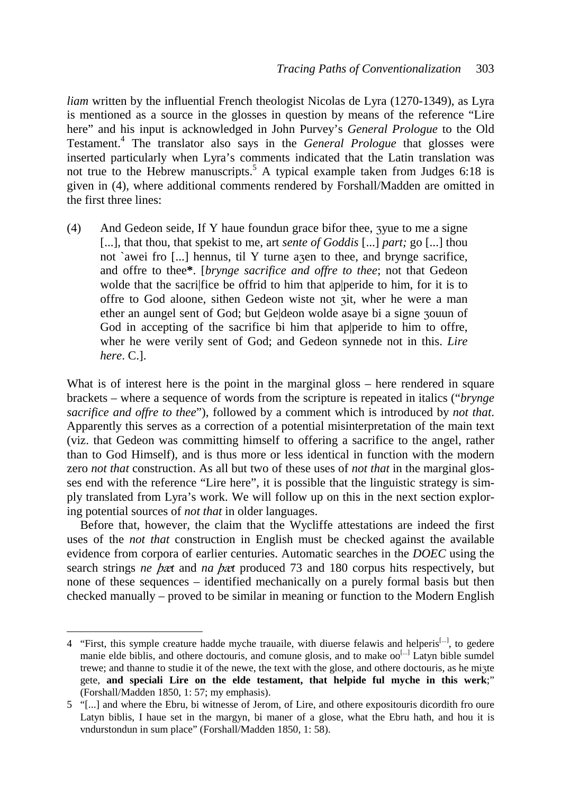*liam* written by the influential French theologist Nicolas de Lyra (1270-1349), as Lyra is mentioned as a source in the glosses in question by means of the reference "Lire here" and his input is acknowledged in John Purvey's *General Prologue* to the Old Testament.<sup>4</sup> The translator also says in the *General Prologue* that glosses were inserted particularly when Lyra's comments indicated that the Latin translation was not true to the Hebrew manuscripts.<sup>5</sup> A typical example taken from Judges 6:18 is given in (4), where additional comments rendered by Forshall/Madden are omitted in the first three lines:

(4) And Gedeon seide, If Y haue foundun grace bifor thee, zyue to me a signe [...], that thou, that spekist to me, art *sente of Goddis* [...] *part;* go [...] thou not `awei fro [...] hennus, til Y turne azen to thee, and brynge sacrifice, and offre to thee**\***. [*brynge sacrifice and offre to thee*; not that Gedeon wolde that the sacriffice be offrid to him that apperide to him, for it is to offre to God aloone, sithen Gedeon wiste not  $\vec{r}$  at where he were a man ether an aungel sent of God; but Ge|deon wolde asaye bi a signe zouun of God in accepting of the sacrifice bi him that ap peride to him to offre. wher he were verily sent of God; and Gedeon synnede not in this. *Lire here*. C.].

What is of interest here is the point in the marginal gloss – here rendered in square brackets – where a sequence of words from the scripture is repeated in italics ("*brynge sacrifice and offre to thee*"), followed by a comment which is introduced by *not that*. Apparently this serves as a correction of a potential misinterpretation of the main text (viz. that Gedeon was committing himself to offering a sacrifice to the angel, rather than to God Himself), and is thus more or less identical in function with the modern zero *not that* construction. As all but two of these uses of *not that* in the marginal glosses end with the reference "Lire here", it is possible that the linguistic strategy is simply translated from Lyra's work. We will follow up on this in the next section exploring potential sources of *not that* in older languages.

Before that, however, the claim that the Wycliffe attestations are indeed the first uses of the *not that* construction in English must be checked against the available evidence from corpora of earlier centuries. Automatic searches in the *DOEC* using the search strings *ne* þæ*t* and *na* þæ*t* produced 73 and 180 corpus hits respectively, but none of these sequences – identified mechanically on a purely formal basis but then checked manually – proved to be similar in meaning or function to the Modern English

<sup>4 &</sup>quot;First, this symple creature hadde myche trauaile, with diuerse felawis and helperis<sup>[...]</sup>, to gedere manie elde biblis, and othere doctouris, and comune glosis, and to make  $oo^{[...]}$  Latyn bible sumdel trewe; and thanne to studie it of the newe, the text with the glose, and othere doctouris, as he mizte gete, **and speciali Lire on the elde testament, that helpide ful myche in this werk**;" (Forshall/Madden 1850, 1: 57; my emphasis).

<sup>5 &</sup>quot;[...] and where the Ebru, bi witnesse of Jerom, of Lire, and othere expositouris dicordith fro oure Latyn biblis, I haue set in the margyn, bi maner of a glose, what the Ebru hath, and hou it is vndurstondun in sum place" (Forshall/Madden 1850, 1: 58).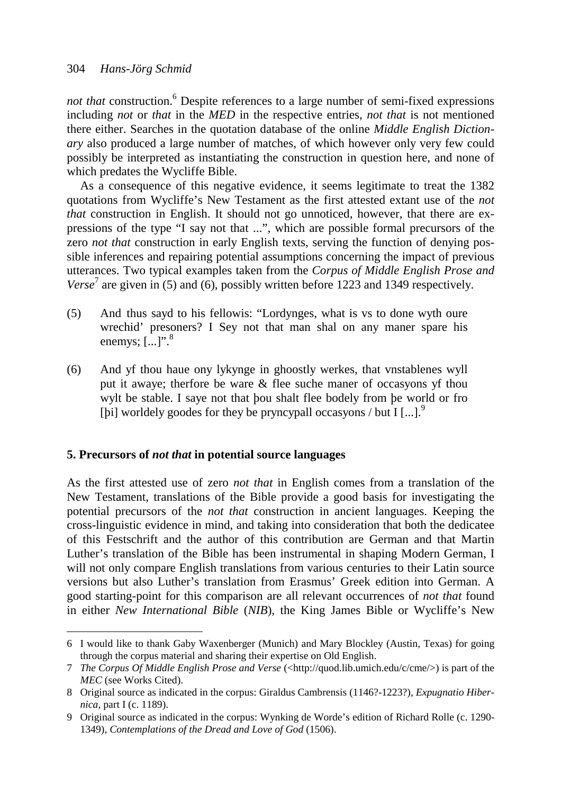not that construction.<sup>6</sup> Despite references to a large number of semi-fixed expressions including *not* or *that* in the *MED* in the respective entries, *not that* is not mentioned there either. Searches in the quotation database of the online *Middle English Dictionary* also produced a large number of matches, of which however only very few could possibly be interpreted as instantiating the construction in question here, and none of which predates the Wycliffe Bible.

As a consequence of this negative evidence, it seems legitimate to treat the 1382 quotations from Wycliffe's New Testament as the first attested extant use of the *not that* construction in English. It should not go unnoticed, however, that there are expressions of the type "I say not that ...", which are possible formal precursors of the zero *not that* construction in early English texts, serving the function of denying possible inferences and repairing potential assumptions concerning the impact of previous utterances. Two typical examples taken from the *Corpus of Middle English Prose and Verse*<sup>7</sup> are given in (5) and (6), possibly written before 1223 and 1349 respectively.

- (5) And thus sayd to his fellowis: "Lordynges, what is vs to done wyth oure wrechid' presoners? I Sey not that man shal on any maner spare his enemys;  $\left[\ldots\right]$ ".<sup>8</sup>
- (6) And yf thou haue ony lykynge in ghoostly werkes, that vnstablenes wyll put it awaye; therfore be ware & flee suche maner of occasyons yf thou wylt be stable. I saye not that þou shalt flee bodely from þe world or fro [bi] worldely goodes for they be pryncypall occasyons / but  $\text{I}$  [...].<sup>9</sup>

# **5. Precursors of** *not that* **in potential source languages**

 $\overline{a}$ 

As the first attested use of zero *not that* in English comes from a translation of the New Testament, translations of the Bible provide a good basis for investigating the potential precursors of the *not that* construction in ancient languages. Keeping the cross-linguistic evidence in mind, and taking into consideration that both the dedicatee of this Festschrift and the author of this contribution are German and that Martin Luther's translation of the Bible has been instrumental in shaping Modern German, I will not only compare English translations from various centuries to their Latin source versions but also Luther's translation from Erasmus' Greek edition into German. A good starting-point for this comparison are all relevant occurrences of *not that* found in either *New International Bible* (*NIB*), the King James Bible or Wycliffe's New

<sup>6</sup> I would like to thank Gaby Waxenberger (Munich) and Mary Blockley (Austin, Texas) for going through the corpus material and sharing their expertise on Old English.

<sup>7</sup> *The Corpus Of Middle English Prose and Verse* (<http://quod.lib.umich.edu/c/cme/>) is part of the *MEC* (see Works Cited).

<sup>8</sup> Original source as indicated in the corpus: Giraldus Cambrensis (1146?-1223?), *Expugnatio Hiber nica*, part I (c. 1189).

<sup>9</sup> Original source as indicated in the corpus: Wynking de Worde's edition of Richard Rolle (c. 1290- 1349), *Contemplations of the Dread and Love of God* (1506).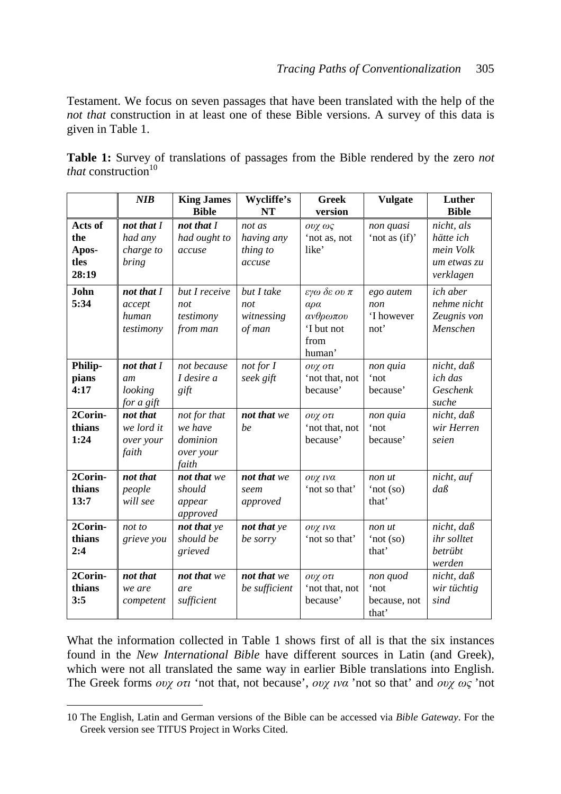Testament. We focus on seven passages that have been translated with the help of the *not that* construction in at least one of these Bible versions. A survey of this data is given in Table 1.

| <b>Table 1:</b> Survey of translations of passages from the Bible rendered by the zero not |  |  |  |  |  |  |
|--------------------------------------------------------------------------------------------|--|--|--|--|--|--|
| <i>that</i> construction <sup>10</sup>                                                     |  |  |  |  |  |  |

|         | NIB        | <b>King James</b> | Wycliffe's    | <b>Greek</b>         | <b>Vulgate</b> | Luther           |
|---------|------------|-------------------|---------------|----------------------|----------------|------------------|
|         |            | <b>Bible</b>      | <b>NT</b>     | version              |                | <b>Bible</b>     |
| Acts of | not that I | not that I        | not as        | ουχ ως               | non quasi      | nicht, als       |
| the     | had any    | had ought to      | having any    | 'not as, not         | 'not as (if)'  | hätte ich        |
| Apos-   | charge to  | accuse            | thing to      | like'                |                | mein Volk        |
| tles    | bring      |                   | accuse        |                      |                | um etwas zu      |
| 28:19   |            |                   |               |                      |                | verklagen        |
| John    | not that I | but I receive     | but I take    | εγω δε ου π          | ego autem      | ich aber         |
| 5:34    | accept     | not               | not           | $\alpha \rho \alpha$ | non            | nehme nicht      |
|         | human      | testimony         | witnessing    | ανθρωπου             | 'I however     | Zeugnis von      |
|         | testimony  | from man          | of man        | 'I but not           | not'           | Menschen         |
|         |            |                   |               | from                 |                |                  |
|         |            |                   |               | human'               |                |                  |
| Philip- | not that I | not because       | $not$ for $I$ | ουχ οτι              | non quia       | nicht, daß       |
| pians   | am         | I desire a        | seek gift     | 'not that, not       | 'not           | ich das          |
| 4:17    | looking    | gift              |               | because'             | because'       | Geschenk         |
|         | for a gift |                   |               |                      |                | suche            |
| 2Corin- | not that   | not for that      | not that we   | ουχ οτι              | non quia       | $nicht, da\beta$ |
| thians  | we lord it | we have           | be            | 'not that, not       | 'not           | wir Herren       |
| 1:24    | over your  | dominion          |               | because'             | because'       | seien            |
|         | faith      | over your         |               |                      |                |                  |
|         |            | faith             |               |                      |                |                  |
| 2Corin- | not that   | not that we       | not that we   | ουχ ινα              | non ut         | nicht, auf       |
| thians  | people     | should            | seem          | 'not so that'        | 'not (so)      | $da\beta$        |
| 13:7    | will see   | appear            | approved      |                      | that'          |                  |
|         |            | approved          |               |                      |                |                  |
| 2Corin- | not to     | not that ye       | not that ye   | ουχ ινα              | non ut         | nicht, daß       |
| thians  | grieve you | should be         | be sorry      | 'not so that'        | 'not (so)      | ihr solltet      |
| 2:4     |            | grieved           |               |                      | that'          | betrübt          |
|         |            |                   |               |                      |                | werden           |
| 2Corin- | not that   | not that we       | not that we   | ουχ οτι              | non quod       | $nicht, da\beta$ |
| thians  | we are     | are               | be sufficient | 'not that, not       | 'not           | wir tüchtig      |
| 3:5     | competent  | sufficient        |               | because'             | because, not   | sind             |
|         |            |                   |               |                      | that'          |                  |

What the information collected in Table 1 shows first of all is that the six instances found in the *New International Bible* have different sources in Latin (and Greek), which were not all translated the same way in earlier Bible translations into English. The Greek forms *ουχ οτι* 'not that, not because', *ουχ ινα* 'not so that' and *ουχ ως* 'not

<sup>10</sup> The English, Latin and German versions of the Bible can be accessed via *Bible Gateway*. For the Greek version see TITUS Project in Works Cited.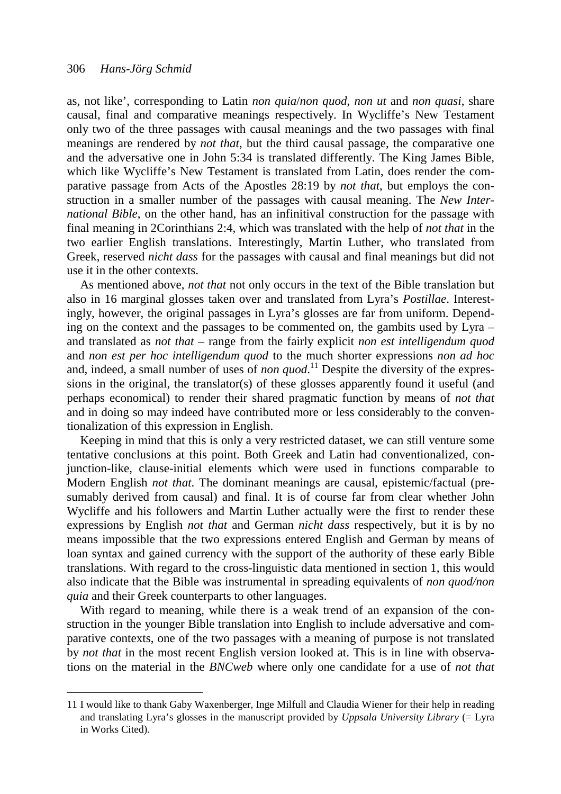$\overline{a}$ 

as, not like', corresponding to Latin *non quia*/*non quod*, *non ut* and *non quasi*, share causal, final and comparative meanings respectively. In Wycliffe's New Testament only two of the three passages with causal meanings and the two passages with final meanings are rendered by *not that*, but the third causal passage, the comparative one and the adversative one in John 5:34 is translated differently. The King James Bible, which like Wycliffe's New Testament is translated from Latin, does render the comparative passage from Acts of the Apostles 28:19 by *not that*, but employs the construction in a smaller number of the passages with causal meaning. The *New International Bible*, on the other hand, has an infinitival construction for the passage with final meaning in 2Corinthians 2:4, which was translated with the help of *not that* in the two earlier English translations. Interestingly, Martin Luther, who translated from Greek, reserved *nicht dass* for the passages with causal and final meanings but did not use it in the other contexts.

As mentioned above, *not that* not only occurs in the text of the Bible translation but also in 16 marginal glosses taken over and translated from Lyra's *Postillae*. Interestingly, however, the original passages in Lyra's glosses are far from uniform. Depending on the context and the passages to be commented on, the gambits used by Lyra – and translated as *not that* – range from the fairly explicit *non est intelligendum quod*  and *non est per hoc intelligendum quod* to the much shorter expressions *non ad hoc* and, indeed, a small number of uses of *non quod*.<sup>11</sup> Despite the diversity of the expressions in the original, the translator(s) of these glosses apparently found it useful (and perhaps economical) to render their shared pragmatic function by means of *not that* and in doing so may indeed have contributed more or less considerably to the conventionalization of this expression in English.

Keeping in mind that this is only a very restricted dataset, we can still venture some tentative conclusions at this point. Both Greek and Latin had conventionalized, conjunction-like, clause-initial elements which were used in functions comparable to Modern English *not that*. The dominant meanings are causal, epistemic/factual (presumably derived from causal) and final. It is of course far from clear whether John Wycliffe and his followers and Martin Luther actually were the first to render these expressions by English *not that* and German *nicht dass* respectively, but it is by no means impossible that the two expressions entered English and German by means of loan syntax and gained currency with the support of the authority of these early Bible translations. With regard to the cross-linguistic data mentioned in section 1, this would also indicate that the Bible was instrumental in spreading equivalents of *non quod/non quia* and their Greek counterparts to other languages.

With regard to meaning, while there is a weak trend of an expansion of the construction in the younger Bible translation into English to include adversative and comparative contexts, one of the two passages with a meaning of purpose is not translated by *not that* in the most recent English version looked at. This is in line with observations on the material in the *BNCweb* where only one candidate for a use of *not that*

<sup>11</sup> I would like to thank Gaby Waxenberger, Inge Milfull and Claudia Wiener for their help in reading and translating Lyra's glosses in the manuscript provided by *Uppsala University Library* (= Lyra in Works Cited).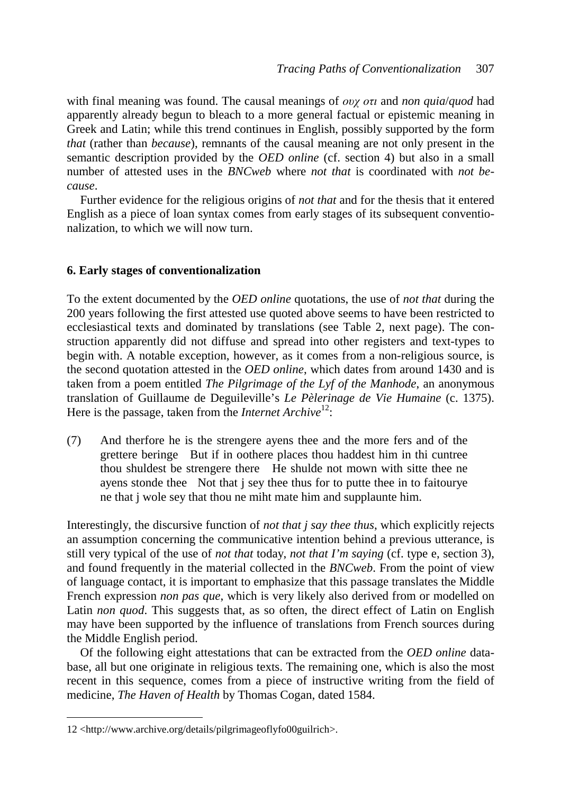with final meaning was found. The causal meanings of *ουχ οτι* and *non quia*/*quod* had apparently already begun to bleach to a more general factual or epistemic meaning in Greek and Latin; while this trend continues in English, possibly supported by the form *that* (rather than *because*), remnants of the causal meaning are not only present in the semantic description provided by the *OED online* (cf. section 4) but also in a small number of attested uses in the *BNCweb* where *not that* is coordinated with *not because*.

Further evidence for the religious origins of *not that* and for the thesis that it entered English as a piece of loan syntax comes from early stages of its subsequent conventionalization, to which we will now turn.

## **6. Early stages of conventionalization**

To the extent documented by the *OED online* quotations, the use of *not that* during the 200 years following the first attested use quoted above seems to have been restricted to ecclesiastical texts and dominated by translations (see Table 2, next page). The construction apparently did not diffuse and spread into other registers and text-types to begin with. A notable exception, however, as it comes from a non-religious source, is the second quotation attested in the *OED online*, which dates from around 1430 and is taken from a poem entitled *The Pilgrimage of the Lyf of the Manhode*, an anonymous translation of Guillaume de Deguileville's *Le Pèlerinage de Vie Humaine* (c. 1375). Here is the passage, taken from the *Internet Archive*<sup>12</sup>:

(7) And therfore he is the strengere ayens thee and the more fers and of the grettere beringe But if in oothere places thou haddest him in thi cuntree thou shuldest be strengere there He shulde not mown with sitte thee ne ayens stonde thee Not that j sey thee thus for to putte thee in to faitourye ne that j wole sey that thou ne miht mate him and supplaunte him.

Interestingly, the discursive function of *not that j say thee thus*, which explicitly rejects an assumption concerning the communicative intention behind a previous utterance, is still very typical of the use of *not that* today, *not that I'm saying* (cf. type e, section 3), and found frequently in the material collected in the *BNCweb*. From the point of view of language contact, it is important to emphasize that this passage translates the Middle French expression *non pas que*, which is very likely also derived from or modelled on Latin *non quod*. This suggests that, as so often, the direct effect of Latin on English may have been supported by the influence of translations from French sources during the Middle English period.

Of the following eight attestations that can be extracted from the *OED online* database, all but one originate in religious texts. The remaining one, which is also the most recent in this sequence, comes from a piece of instructive writing from the field of medicine, *The Haven of Health* by Thomas Cogan, dated 1584.

<sup>12 &</sup>lt;http://www.archive.org/details/pilgrimageoflyfo00guilrich>.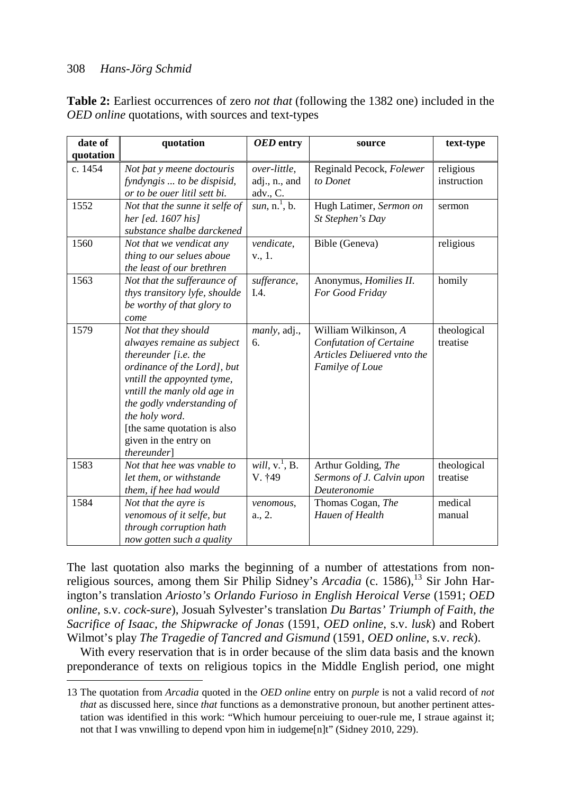$\overline{a}$ 

| <b>Table 2:</b> Earliest occurrences of zero <i>not that</i> (following the 1382 one) included in the |  |
|-------------------------------------------------------------------------------------------------------|--|
| <i>OED online</i> quotations, with sources and text-types                                             |  |

| date of<br>quotation | quotation                                                                                                                                                                                                                                                                                       | OED entry                                 | source                                                                                            | text-type                |
|----------------------|-------------------------------------------------------------------------------------------------------------------------------------------------------------------------------------------------------------------------------------------------------------------------------------------------|-------------------------------------------|---------------------------------------------------------------------------------------------------|--------------------------|
| c. 1454              | Not pat y meene doctouris<br>fyndyngis  to be dispisid,<br>or to be ouer litil sett bi.                                                                                                                                                                                                         | over-little,<br>adj., n., and<br>adv., C. | Reginald Pecock, Folewer<br>to Donet                                                              | religious<br>instruction |
| 1552                 | Not that the sunne it selfe of<br>her [ed. $1607$ his]<br>substance shalbe darckened                                                                                                                                                                                                            | sun, $n^1$ , b.                           | Hugh Latimer, Sermon on<br>St Stephen's Day                                                       | sermon                   |
| 1560                 | Not that we vendicat any<br>thing to our selues aboue<br>the least of our brethren                                                                                                                                                                                                              | vendicate,<br>v., 1.                      | Bible (Geneva)                                                                                    | religious                |
| 1563                 | Not that the sufferaunce of<br>thys transitory lyfe, shoulde<br>be worthy of that glory to<br>come                                                                                                                                                                                              | sufferance,<br>I.4.                       | Anonymus, Homilies II.<br>For Good Friday                                                         | homily                   |
| 1579                 | Not that they should<br>alwayes remaine as subject<br>thereunder $[i.e.$ the<br>ordinance of the Lord], but<br>vntill the appoynted tyme,<br>vntill the manly old age in<br>the godly vnderstanding of<br>the holy word.<br>[the same quotation is also<br>given in the entry on<br>thereunder] | <i>manly</i> , adj.,<br>6.                | William Wilkinson, A<br>Confutation of Certaine<br>Articles Deliuered vnto the<br>Familye of Loue | theological<br>treatise  |
| 1583                 | Not that hee was vnable to<br>let them, or withstande<br>them, if hee had would                                                                                                                                                                                                                 | will, $v^1$ , $\overline{B}$ .<br>V. †49  | Arthur Golding, The<br>Sermons of J. Calvin upon<br>Deuteronomie                                  | theological<br>treatise  |
| 1584                 | Not that the ayre is<br>venomous of it selfe, but<br>through corruption hath<br>now gotten such a quality                                                                                                                                                                                       | venomous,<br>a., 2.                       | Thomas Cogan, The<br>Hauen of Health                                                              | medical<br>manual        |

The last quotation also marks the beginning of a number of attestations from nonreligious sources, among them Sir Philip Sidney's *Arcadia* (c. 1586),<sup>13</sup> Sir John Harington's translation *Ariosto's Orlando Furioso in English Heroical Verse* (1591; *OED online*, s.v. *cock-sure*), Josuah Sylvester's translation *Du Bartas' Triumph of Faith, the Sacrifice of Isaac, the Shipwracke of Jonas* (1591, *OED online*, s.v. *lusk*) and Robert Wilmot's play *The Tragedie of Tancred and Gismund* (1591, *OED online*, s.v. *reck*).

With every reservation that is in order because of the slim data basis and the known preponderance of texts on religious topics in the Middle English period, one might

<sup>13</sup> The quotation from *Arcadia* quoted in the *OED online* entry on *purple* is not a valid record of *not that* as discussed here, since *that* functions as a demonstrative pronoun, but another pertinent attes tation was identified in this work: "Which humour perceiuing to ouer-rule me, I straue against it; not that I was vnwilling to depend vpon him in iudgeme[n]t" (Sidney 2010, 229).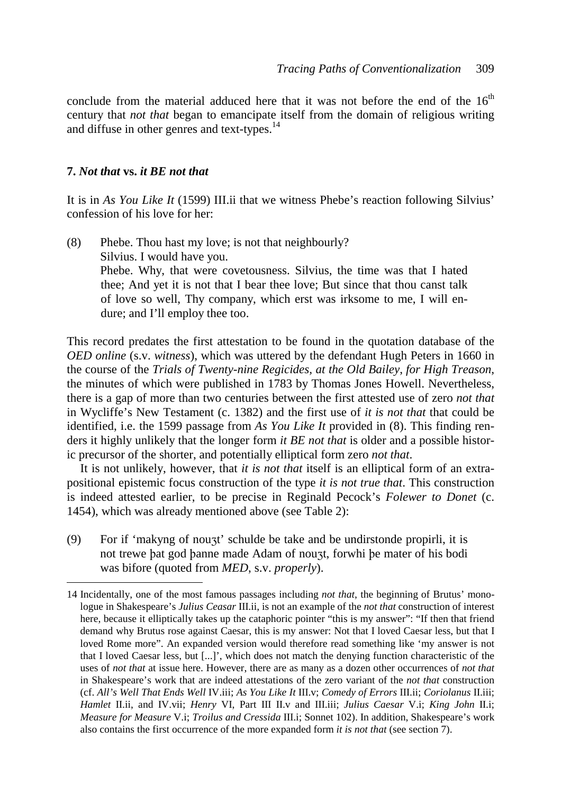conclude from the material adduced here that it was not before the end of the  $16<sup>th</sup>$ century that *not that* began to emancipate itself from the domain of religious writing and diffuse in other genres and text-types.<sup>14</sup>

### **7.** *Not that* **vs.** *it BE not that*

 $\overline{a}$ 

It is in *As You Like It* (1599) III.ii that we witness Phebe's reaction following Silvius' confession of his love for her:

(8) Phebe. Thou hast my love; is not that neighbourly? Silvius. I would have you. Phebe. Why, that were covetousness. Silvius, the time was that I hated thee; And yet it is not that I bear thee love; But since that thou canst talk of love so well, Thy company, which erst was irksome to me, I will endure; and I'll employ thee too.

This record predates the first attestation to be found in the quotation database of the *OED online* (s.v. *witness*), which was uttered by the defendant Hugh Peters in 1660 in the course of the *Trials of Twenty-nine Regicides, at the Old Bailey*, *for High Treason*, the minutes of which were published in 1783 by Thomas Jones Howell. Nevertheless, there is a gap of more than two centuries between the first attested use of zero *not that* in Wycliffe's New Testament (c. 1382) and the first use of *it is not that* that could be identified, i.e. the 1599 passage from *As You Like It* provided in (8). This finding renders it highly unlikely that the longer form *it BE not that* is older and a possible historic precursor of the shorter, and potentially elliptical form zero *not that*.

It is not unlikely, however, that *it is not that* itself is an elliptical form of an extrapositional epistemic focus construction of the type *it is not true that*. This construction is indeed attested earlier, to be precise in Reginald Pecock's *Folewer to Donet* (c. 1454), which was already mentioned above (see Table 2):

(9) For if 'makyng of nouzt' schulde be take and be undirstonde propirli, it is not trewe þat god þanne made Adam of nouzt, forwhi þe mater of his bodi was bifore (quoted from *MED*, s.v. *properly*).

<sup>14</sup> Incidentally, one of the most famous passages including *not that*, the beginning of Brutus' mono logue in Shakespeare's *Julius Ceasar* III.ii, is not an example of the *not that* construction of interest here, because it elliptically takes up the cataphoric pointer "this is my answer": "If then that friend demand why Brutus rose against Caesar, this is my answer: Not that I loved Caesar less, but that I loved Rome more". An expanded version would therefore read something like 'my answer is not that I loved Caesar less, but [...]', which does not match the denying function characteristic of the uses of *not that* at issue here. However, there are as many as a dozen other occurrences of *not that* in Shakespeare's work that are indeed attestations of the zero variant of the *not that* construction (cf. *All's Well That Ends Well* IV.iii; *As You Like It* III.v; *Comedy of Errors* III.ii; *Coriolanus* II.iii; *Hamlet* II.ii, and IV.vii; *Henry* VI, Part III II.v and III.iii; *Julius Caesar* V.i; *King John* II.i; *Measure for Measure* V.i; *Troilus and Cressida* III.i; Sonnet 102). In addition, Shakespeare's work also contains the first occurrence of the more expanded form *it is not that* (see section 7).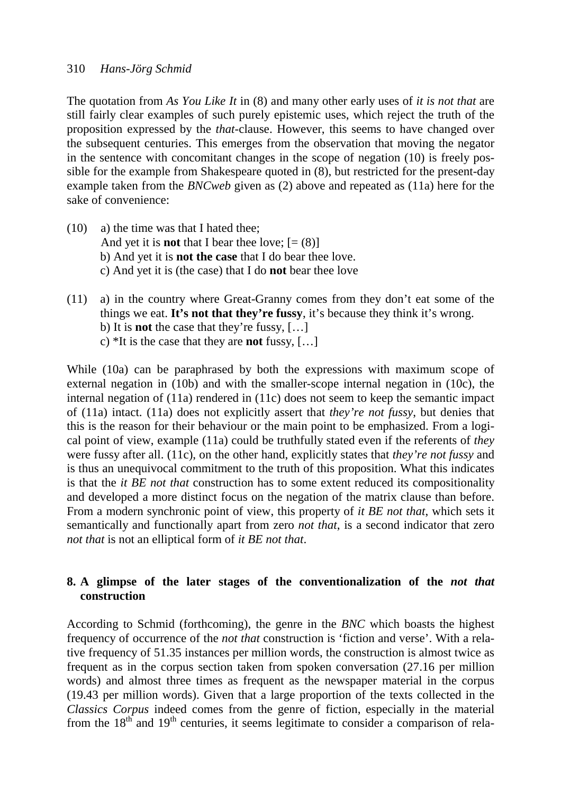The quotation from *As You Like It* in (8) and many other early uses of *it is not that* are still fairly clear examples of such purely epistemic uses, which reject the truth of the proposition expressed by the *that*-clause. However, this seems to have changed over the subsequent centuries. This emerges from the observation that moving the negator in the sentence with concomitant changes in the scope of negation (10) is freely possible for the example from Shakespeare quoted in (8), but restricted for the present-day example taken from the *BNCweb* given as (2) above and repeated as (11a) here for the sake of convenience:

- (10) a) the time was that I hated thee; And yet it is **not** that I bear thee love;  $[=(8)]$  b) And yet it is **not the case** that I do bear thee love. c) And yet it is (the case) that I do **not** bear thee love
- (11) a) in the country where Great-Granny comes from they don't eat some of the things we eat. **It's not that they're fussy**, it's because they think it's wrong. b) It is **not** the case that they're fussy, […] c) \*It is the case that they are **not** fussy, […]

While (10a) can be paraphrased by both the expressions with maximum scope of external negation in (10b) and with the smaller-scope internal negation in (10c), the internal negation of (11a) rendered in (11c) does not seem to keep the semantic impact of (11a) intact. (11a) does not explicitly assert that *they're not fussy*, but denies that this is the reason for their behaviour or the main point to be emphasized. From a logical point of view, example (11a) could be truthfully stated even if the referents of *they* were fussy after all. (11c), on the other hand, explicitly states that *they're not fussy* and is thus an unequivocal commitment to the truth of this proposition. What this indicates is that the *it BE not that* construction has to some extent reduced its compositionality and developed a more distinct focus on the negation of the matrix clause than before. From a modern synchronic point of view, this property of *it BE not that*, which sets it semantically and functionally apart from zero *not that*, is a second indicator that zero *not that* is not an elliptical form of *it BE not that*.

# **8. A glimpse of the later stages of the conventionalization of the** *not that*  **construction**

According to Schmid (forthcoming), the genre in the *BNC* which boasts the highest frequency of occurrence of the *not that* construction is 'fiction and verse'. With a relative frequency of 51.35 instances per million words, the construction is almost twice as frequent as in the corpus section taken from spoken conversation (27.16 per million words) and almost three times as frequent as the newspaper material in the corpus (19.43 per million words). Given that a large proportion of the texts collected in the *Classics Corpus* indeed comes from the genre of fiction, especially in the material from the  $18<sup>th</sup>$  and  $19<sup>th</sup>$  centuries, it seems legitimate to consider a comparison of rela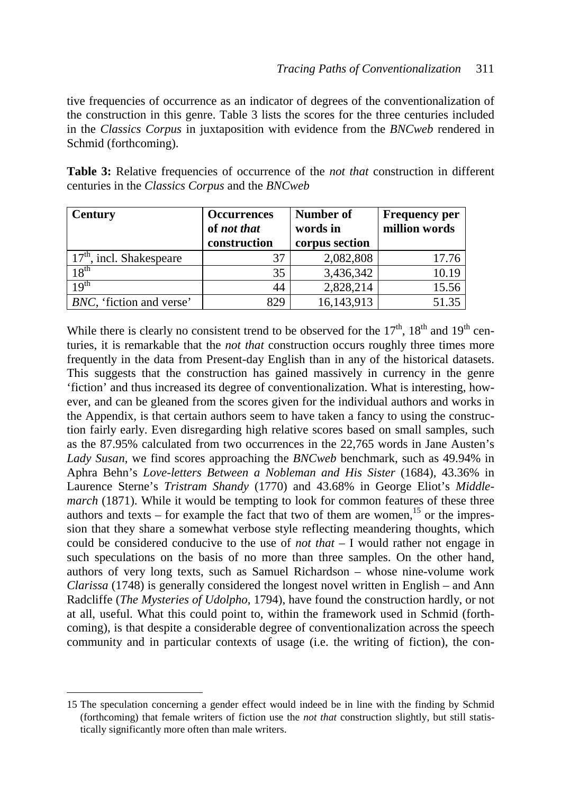tive frequencies of occurrence as an indicator of degrees of the conventionalization of the construction in this genre. Table 3 lists the scores for the three centuries included in the *Classics Corpus* in juxtaposition with evidence from the *BNCweb* rendered in Schmid (forthcoming).

**Table 3:** Relative frequencies of occurrence of the *not that* construction in different centuries in the *Classics Corpus* and the *BNCweb* 

| <b>Century</b>             | <b>Occurrences</b> | <b>Number of</b> | <b>Frequency per</b> |
|----------------------------|--------------------|------------------|----------------------|
|                            | of not that        | words in         | million words        |
|                            | construction       | corpus section   |                      |
| $17th$ , incl. Shakespeare | 37                 | 2,082,808        | 17.76                |
| $18^{\rm th}$              | 35                 | 3,436,342        | 10.19                |
| $10^{th}$                  | 44                 | 2,828,214        | 15.56                |
| BNC, 'fiction and verse'   | 829                | 16,143,913       | 51.35                |

While there is clearly no consistent trend to be observed for the  $17<sup>th</sup>$ ,  $18<sup>th</sup>$  and  $19<sup>th</sup>$  centuries, it is remarkable that the *not that* construction occurs roughly three times more frequently in the data from Present-day English than in any of the historical datasets. This suggests that the construction has gained massively in currency in the genre 'fiction' and thus increased its degree of conventionalization. What is interesting, however, and can be gleaned from the scores given for the individual authors and works in the Appendix, is that certain authors seem to have taken a fancy to using the construction fairly early. Even disregarding high relative scores based on small samples, such as the 87.95% calculated from two occurrences in the 22,765 words in Jane Austen's *Lady Susan*, we find scores approaching the *BNCweb* benchmark, such as 49.94% in Aphra Behn's *Love-letters Between a Nobleman and His Sister* (1684), 43.36% in Laurence Sterne's *Tristram Shandy* (1770) and 43.68% in George Eliot's *Middlemarch* (1871). While it would be tempting to look for common features of these three authors and texts – for example the fact that two of them are women,  $15$  or the impression that they share a somewhat verbose style reflecting meandering thoughts, which could be considered conducive to the use of *not that* – I would rather not engage in such speculations on the basis of no more than three samples. On the other hand, authors of very long texts, such as Samuel Richardson – whose nine-volume work *Clarissa* (1748) is generally considered the longest novel written in English – and Ann Radcliffe (*The Mysteries of Udolpho*, 1794), have found the construction hardly, or not at all, useful. What this could point to, within the framework used in Schmid (forthcoming), is that despite a considerable degree of conventionalization across the speech community and in particular contexts of usage (i.e. the writing of fiction), the con-

<sup>15</sup> The speculation concerning a gender effect would indeed be in line with the finding by Schmid (forthcoming) that female writers of fiction use the *not that* construction slightly, but still statis tically significantly more often than male writers.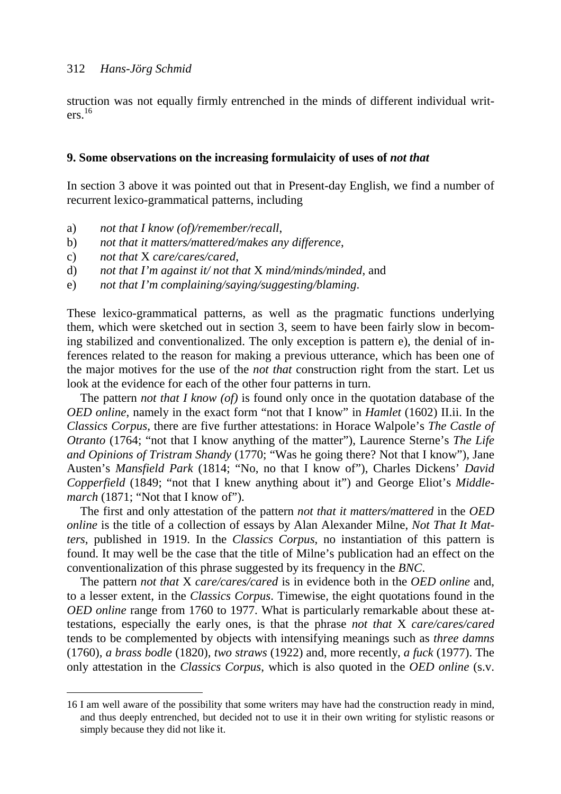struction was not equally firmly entrenched in the minds of different individual writers. 16

#### **9. Some observations on the increasing formulaicity of uses of** *not that*

In section 3 above it was pointed out that in Present-day English, we find a number of recurrent lexico-grammatical patterns, including

- a) *not that I know (of)/remember/recall*,
- b) *not that it matters/mattered/makes any difference*,
- c) *not that* X *care/cares/cared*,

 $\overline{a}$ 

- d) *not that I'm against it/ not that* X *mind/minds/minded*, and
- e) *not that I'm complaining/saying/suggesting/blaming*.

These lexico-grammatical patterns, as well as the pragmatic functions underlying them, which were sketched out in section 3, seem to have been fairly slow in becoming stabilized and conventionalized. The only exception is pattern e), the denial of inferences related to the reason for making a previous utterance, which has been one of the major motives for the use of the *not that* construction right from the start. Let us look at the evidence for each of the other four patterns in turn.

The pattern *not that I know (of)* is found only once in the quotation database of the *OED online*, namely in the exact form "not that I know" in *Hamlet* (1602) II.ii. In the *Classics Corpus*, there are five further attestations: in Horace Walpole's *The Castle of Otranto* (1764; "not that I know anything of the matter"), Laurence Sterne's *The Life and Opinions of Tristram Shandy* (1770; "Was he going there? Not that I know"), Jane Austen's *Mansfield Park* (1814; "No, no that I know of"), Charles Dickens' *David Copperfield* (1849; "not that I knew anything about it") and George Eliot's *Middlemarch* (1871; "Not that I know of").

The first and only attestation of the pattern *not that it matters/mattered* in the *OED online* is the title of a collection of essays by Alan Alexander Milne, *Not That It Matters*, published in 1919. In the *Classics Corpus*, no instantiation of this pattern is found. It may well be the case that the title of Milne's publication had an effect on the conventionalization of this phrase suggested by its frequency in the *BNC*.

The pattern *not that* X *care/cares/cared* is in evidence both in the *OED online* and, to a lesser extent, in the *Classics Corpus*. Timewise, the eight quotations found in the *OED online* range from 1760 to 1977. What is particularly remarkable about these attestations, especially the early ones, is that the phrase *not that* X *care/cares/cared* tends to be complemented by objects with intensifying meanings such as *three damns* (1760)*, a brass bodle* (1820)*, two straws* (1922) and, more recently, *a fuck* (1977). The only attestation in the *Classics Corpus*, which is also quoted in the *OED online* (s.v.

<sup>16</sup> I am well aware of the possibility that some writers may have had the construction ready in mind, and thus deeply entrenched, but decided not to use it in their own writing for stylistic reasons or simply because they did not like it.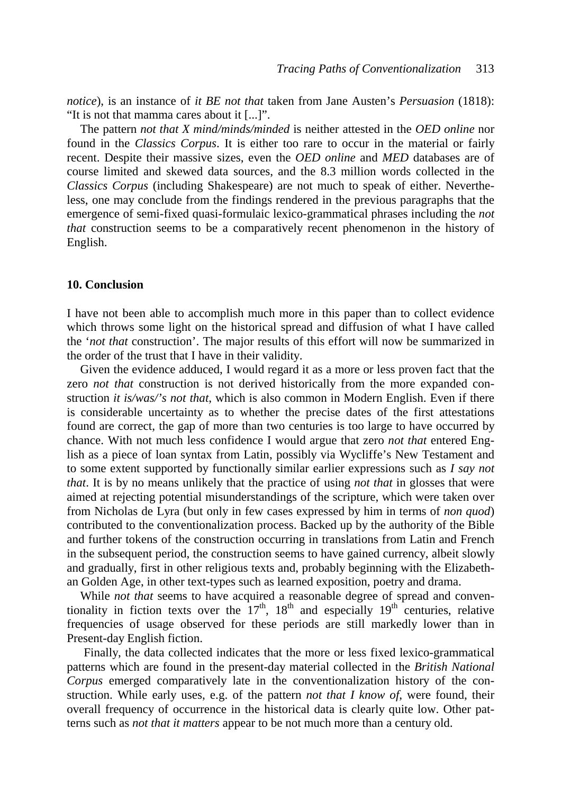*notice*), is an instance of *it BE not that* taken from Jane Austen's *Persuasion* (1818): "It is not that mamma cares about it [...]".

The pattern *not that X mind/minds/minded* is neither attested in the *OED online* nor found in the *Classics Corpus*. It is either too rare to occur in the material or fairly recent. Despite their massive sizes, even the *OED online* and *MED* databases are of course limited and skewed data sources, and the 8.3 million words collected in the *Classics Corpus* (including Shakespeare) are not much to speak of either. Nevertheless, one may conclude from the findings rendered in the previous paragraphs that the emergence of semi-fixed quasi-formulaic lexico-grammatical phrases including the *not that* construction seems to be a comparatively recent phenomenon in the history of English.

#### **10. Conclusion**

I have not been able to accomplish much more in this paper than to collect evidence which throws some light on the historical spread and diffusion of what I have called the '*not that* construction'. The major results of this effort will now be summarized in the order of the trust that I have in their validity.

Given the evidence adduced, I would regard it as a more or less proven fact that the zero *not that* construction is not derived historically from the more expanded construction *it is/was/'s not that*, which is also common in Modern English. Even if there is considerable uncertainty as to whether the precise dates of the first attestations found are correct, the gap of more than two centuries is too large to have occurred by chance. With not much less confidence I would argue that zero *not that* entered English as a piece of loan syntax from Latin, possibly via Wycliffe's New Testament and to some extent supported by functionally similar earlier expressions such as *I say not that*. It is by no means unlikely that the practice of using *not that* in glosses that were aimed at rejecting potential misunderstandings of the scripture, which were taken over from Nicholas de Lyra (but only in few cases expressed by him in terms of *non quod*) contributed to the conventionalization process. Backed up by the authority of the Bible and further tokens of the construction occurring in translations from Latin and French in the subsequent period, the construction seems to have gained currency, albeit slowly and gradually, first in other religious texts and, probably beginning with the Elizabethan Golden Age, in other text-types such as learned exposition, poetry and drama.

While *not that* seems to have acquired a reasonable degree of spread and conventionality in fiction texts over the  $17<sup>th</sup>$ ,  $18<sup>th</sup>$  and especially  $19<sup>th</sup>$  centuries, relative frequencies of usage observed for these periods are still markedly lower than in Present-day English fiction.

Finally, the data collected indicates that the more or less fixed lexico-grammatical patterns which are found in the present-day material collected in the *British National Corpus* emerged comparatively late in the conventionalization history of the construction. While early uses, e.g. of the pattern *not that I know of*, were found, their overall frequency of occurrence in the historical data is clearly quite low. Other patterns such as *not that it matters* appear to be not much more than a century old.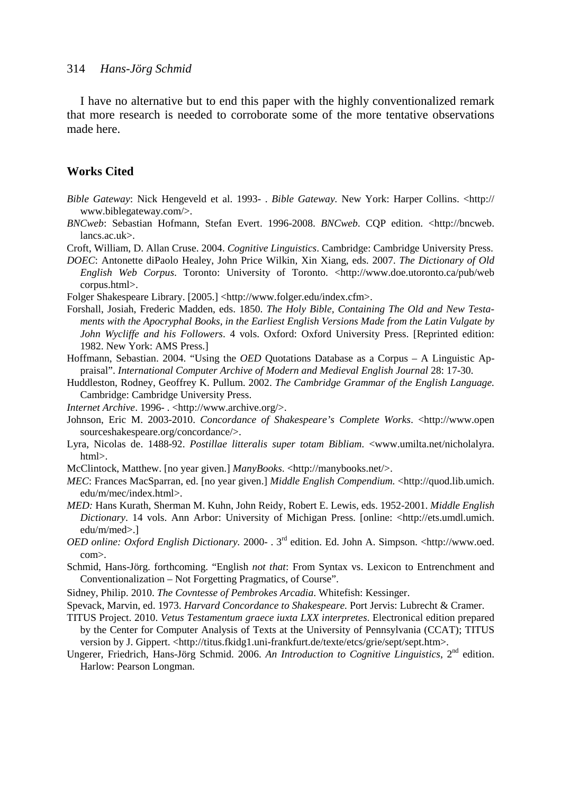I have no alternative but to end this paper with the highly conventionalized remark that more research is needed to corroborate some of the more tentative observations made here.

### **Works Cited**

- *Bible Gateway*: Nick Hengeveld et al. 1993- . *Bible Gateway.* New York: Harper Collins. <http:// www.biblegateway.com/>.
- *BNCweb*: Sebastian Hofmann, Stefan Evert. 1996-2008. *BNCweb*. CQP edition. <http://bncweb. lancs.ac.uk>.
- Croft, William, D. Allan Cruse. 2004. *Cognitive Linguistics*. Cambridge: Cambridge University Press.
- *DOEC*: Antonette diPaolo Healey, John Price Wilkin, Xin Xiang, eds. 2007. *The Dictionary of Old English Web Corpus*. Toronto: University of Toronto. <http://www.doe.utoronto.ca/pub/web corpus.html>.
- Folger Shakespeare Library. [2005.] <http://www.folger.edu/index.cfm>.
- Forshall, Josiah, Frederic Madden, eds. 1850. *The Holy Bible, Containing The Old and New Testaments with the Apocryphal Books, in the Earliest English Versions Made from the Latin Vulgate by John Wycliffe and his Followers*. 4 vols. Oxford: Oxford University Press. [Reprinted edition: 1982. New York: AMS Press.]
- Hoffmann, Sebastian. 2004. "Using the *OED* Quotations Database as a Corpus A Linguistic Appraisal". *International Computer Archive of Modern and Medieval English Journal* 28: 17-30.
- Huddleston, Rodney, Geoffrey K. Pullum. 2002. *The Cambridge Grammar of the English Language.* Cambridge: Cambridge University Press.
- *Internet Archive*. 1996- . <http://www.archive.org/>.
- Johnson, Eric M. 2003-2010. *Concordance of Shakespeare's Complete Works*. <http://www.open sourceshakespeare.org/concordance/>.
- Lyra, Nicolas de. 1488-92. *Postillae litteralis super totam Bibliam*. <www.umilta.net/nicholalyra. html>.
- McClintock, Matthew. [no year given.] *ManyBooks*. <http://manybooks.net/>.
- *MEC*: Frances MacSparran, ed. [no year given.] *Middle English Compendium.* <http://quod.lib.umich. edu/m/mec/index.html>.
- *MED:* Hans Kurath, Sherman M. Kuhn, John Reidy, Robert E. Lewis, eds. 1952-2001. *Middle English Dictionary*. 14 vols. Ann Arbor: University of Michigan Press. [online: <http://ets.umdl.umich. edu/m/med>.]
- *OED online: Oxford English Dictionary.* 2000- . 3rd edition. Ed. John A. Simpson. <http://www.oed. com>.
- Schmid, Hans-Jörg. forthcoming. "English *not that*: From Syntax vs. Lexicon to Entrenchment and Conventionalization – Not Forgetting Pragmatics, of Course".
- Sidney, Philip. 2010. *The Covntesse of Pembrokes Arcadia*. Whitefish: Kessinger.
- Spevack, Marvin, ed. 1973. *Harvard Concordance to Shakespeare.* Port Jervis: Lubrecht & Cramer.
- TITUS Project. 2010. *Vetus Testamentum graece iuxta LXX interpretes*. Electronical edition prepared by the Center for Computer Analysis of Texts at the University of Pennsylvania (CCAT); TITUS version by J. Gippert. <http://titus.fkidg1.uni-frankfurt.de/texte/etcs/grie/sept/sept.htm>.
- Ungerer, Friedrich, Hans-Jörg Schmid. 2006. *An Introduction to Cognitive Linguistics*, 2nd edition. Harlow: Pearson Longman.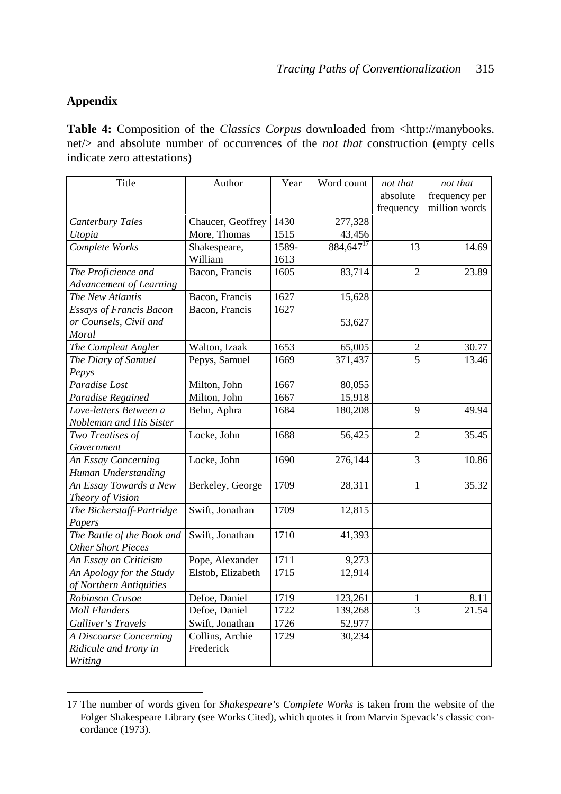# **Appendix**

 $\overline{a}$ 

**Table 4:** Composition of the *Classics Corpus* downloaded from <http://manybooks. net/> and absolute number of occurrences of the *not that* construction (empty cells indicate zero attestations)

| Title                          | Author            | Year  | Word count     | not that       | not that      |
|--------------------------------|-------------------|-------|----------------|----------------|---------------|
|                                |                   |       |                | absolute       | frequency per |
|                                |                   |       |                | frequency      | million words |
| Canterbury Tales               | Chaucer, Geoffrey | 1430  | 277,328        |                |               |
| Utopia                         | More, Thomas      | 1515  | 43,456         |                |               |
| Complete Works                 | Shakespeare,      | 1589- | $884,647^{17}$ | 13             | 14.69         |
|                                | William           | 1613  |                |                |               |
| The Proficience and            | Bacon, Francis    | 1605  | 83,714         | $\overline{2}$ | 23.89         |
| <b>Advancement of Learning</b> |                   |       |                |                |               |
| The New Atlantis               | Bacon, Francis    | 1627  | 15,628         |                |               |
| <b>Essays of Francis Bacon</b> | Bacon, Francis    | 1627  |                |                |               |
| or Counsels, Civil and         |                   |       | 53,627         |                |               |
| Moral                          |                   |       |                |                |               |
| The Compleat Angler            | Walton, Izaak     | 1653  | 65,005         | $\overline{2}$ | 30.77         |
| The Diary of Samuel            | Pepys, Samuel     | 1669  | 371,437        | $\overline{5}$ | 13.46         |
| Pepys                          |                   |       |                |                |               |
| Paradise Lost                  | Milton, John      | 1667  | 80,055         |                |               |
| Paradise Regained              | Milton, John      | 1667  | 15,918         |                |               |
| Love-letters Between a         | Behn, Aphra       | 1684  | 180,208        | 9              | 49.94         |
| Nobleman and His Sister        |                   |       |                |                |               |
| Two Treatises of               | Locke, John       | 1688  | 56,425         | $\overline{2}$ | 35.45         |
| Government                     |                   |       |                |                |               |
| An Essay Concerning            | Locke, John       | 1690  | 276,144        | 3              | 10.86         |
| Human Understanding            |                   |       |                |                |               |
| An Essay Towards a New         | Berkeley, George  | 1709  | 28,311         | 1              | 35.32         |
| Theory of Vision               |                   |       |                |                |               |
| The Bickerstaff-Partridge      | Swift, Jonathan   | 1709  | 12,815         |                |               |
| Papers                         |                   |       |                |                |               |
| The Battle of the Book and     | Swift, Jonathan   | 1710  | 41,393         |                |               |
| <b>Other Short Pieces</b>      |                   |       |                |                |               |
| An Essay on Criticism          | Pope, Alexander   | 1711  | 9,273          |                |               |
| An Apology for the Study       | Elstob, Elizabeth | 1715  | 12,914         |                |               |
| of Northern Antiquities        |                   |       |                |                |               |
| Robinson Crusoe                | Defoe, Daniel     | 1719  | 123,261        | 1              | 8.11          |
| <b>Moll Flanders</b>           | Defoe, Daniel     | 1722  | 139,268        | $\overline{3}$ | 21.54         |
| <b>Gulliver's Travels</b>      | Swift, Jonathan   | 1726  | 52,977         |                |               |
| A Discourse Concerning         | Collins, Archie   | 1729  | 30,234         |                |               |
| Ridicule and Irony in          | Frederick         |       |                |                |               |
| Writing                        |                   |       |                |                |               |

<sup>17</sup> The number of words given for *Shakespeare's Complete Works* is taken from the website of the Folger Shakespeare Library (see Works Cited), which quotes it from Marvin Spevack's classic con cordance (1973).